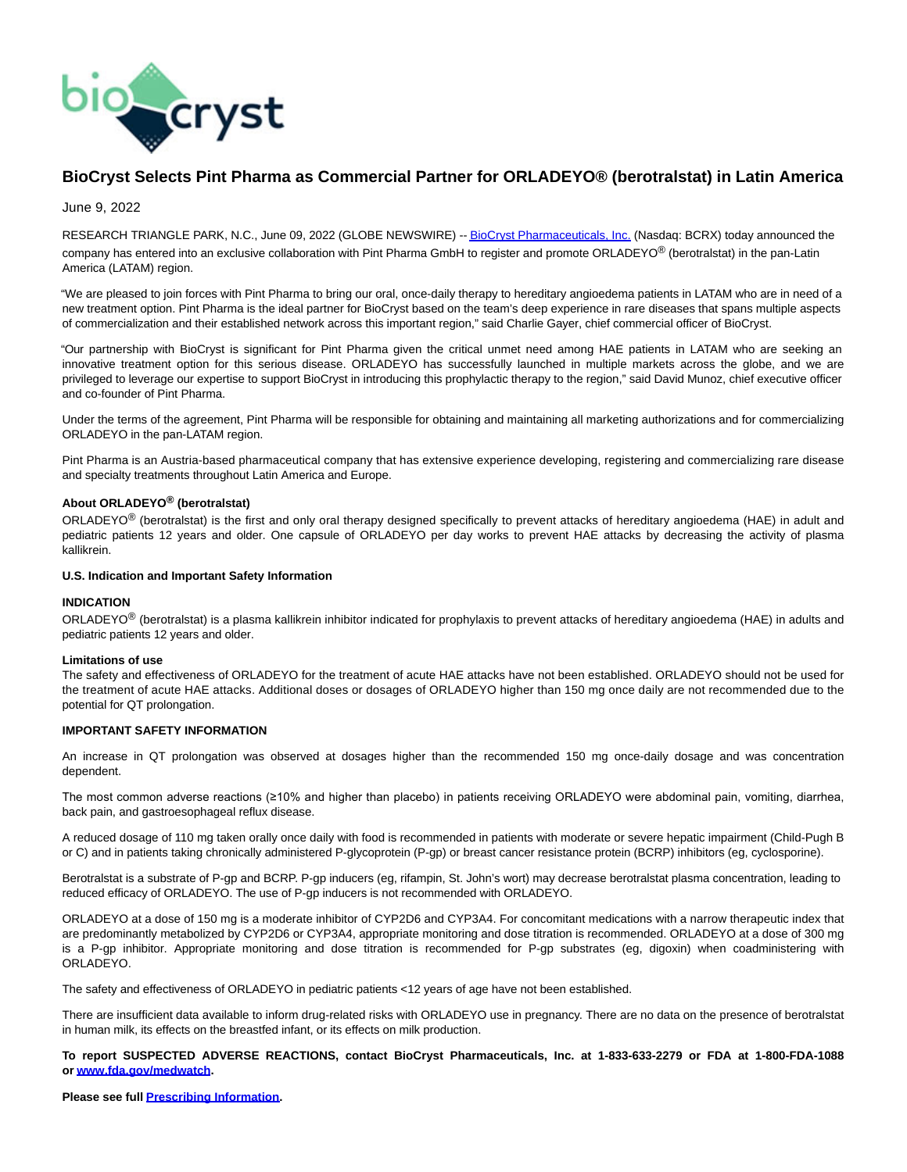

# **BioCryst Selects Pint Pharma as Commercial Partner for ORLADEYO® (berotralstat) in Latin America**

June 9, 2022

RESEARCH TRIANGLE PARK, N.C., June 09, 2022 (GLOBE NEWSWIRE) -[- BioCryst Pharmaceuticals, Inc. \(](https://www.globenewswire.com/Tracker?data=qKtCdGQBjvsGoMK64i57q-OhQnOGo53S5TUq7QA14X7w3-zYNaIGUG0-qQ2_0BokSiet_8XJ_8jn0a57Ivjoms1YT_71dUQjBoS3j5SlwH8=)Nasdaq: BCRX) today announced the company has entered into an exclusive collaboration with Pint Pharma GmbH to register and promote ORLADEYO® (berotralstat) in the pan-Latin America (LATAM) region.

"We are pleased to join forces with Pint Pharma to bring our oral, once-daily therapy to hereditary angioedema patients in LATAM who are in need of a new treatment option. Pint Pharma is the ideal partner for BioCryst based on the team's deep experience in rare diseases that spans multiple aspects of commercialization and their established network across this important region," said Charlie Gayer, chief commercial officer of BioCryst.

"Our partnership with BioCryst is significant for Pint Pharma given the critical unmet need among HAE patients in LATAM who are seeking an innovative treatment option for this serious disease. ORLADEYO has successfully launched in multiple markets across the globe, and we are privileged to leverage our expertise to support BioCryst in introducing this prophylactic therapy to the region," said David Munoz, chief executive officer and co-founder of Pint Pharma.

Under the terms of the agreement, Pint Pharma will be responsible for obtaining and maintaining all marketing authorizations and for commercializing ORLADEYO in the pan-LATAM region.

Pint Pharma is an Austria-based pharmaceutical company that has extensive experience developing, registering and commercializing rare disease and specialty treatments throughout Latin America and Europe.

## **About ORLADEYO® (berotralstat)**

ORLADEYO<sup>®</sup> (berotralstat) is the first and only oral therapy designed specifically to prevent attacks of hereditary angioedema (HAE) in adult and pediatric patients 12 years and older. One capsule of ORLADEYO per day works to prevent HAE attacks by decreasing the activity of plasma kallikrein.

#### **U.S. Indication and Important Safety Information**

## **INDICATION**

ORLADEYO® (berotralstat) is a plasma kallikrein inhibitor indicated for prophylaxis to prevent attacks of hereditary angioedema (HAE) in adults and pediatric patients 12 years and older.

#### **Limitations of use**

The safety and effectiveness of ORLADEYO for the treatment of acute HAE attacks have not been established. ORLADEYO should not be used for the treatment of acute HAE attacks. Additional doses or dosages of ORLADEYO higher than 150 mg once daily are not recommended due to the potential for QT prolongation.

#### **IMPORTANT SAFETY INFORMATION**

An increase in QT prolongation was observed at dosages higher than the recommended 150 mg once-daily dosage and was concentration dependent.

The most common adverse reactions (≥10% and higher than placebo) in patients receiving ORLADEYO were abdominal pain, vomiting, diarrhea, back pain, and gastroesophageal reflux disease.

A reduced dosage of 110 mg taken orally once daily with food is recommended in patients with moderate or severe hepatic impairment (Child-Pugh B or C) and in patients taking chronically administered P-glycoprotein (P-gp) or breast cancer resistance protein (BCRP) inhibitors (eg, cyclosporine).

Berotralstat is a substrate of P-gp and BCRP. P-gp inducers (eg, rifampin, St. John's wort) may decrease berotralstat plasma concentration, leading to reduced efficacy of ORLADEYO. The use of P-gp inducers is not recommended with ORLADEYO.

ORLADEYO at a dose of 150 mg is a moderate inhibitor of CYP2D6 and CYP3A4. For concomitant medications with a narrow therapeutic index that are predominantly metabolized by CYP2D6 or CYP3A4, appropriate monitoring and dose titration is recommended. ORLADEYO at a dose of 300 mg is a P-gp inhibitor. Appropriate monitoring and dose titration is recommended for P-gp substrates (eg, digoxin) when coadministering with ORLADEYO.

The safety and effectiveness of ORLADEYO in pediatric patients <12 years of age have not been established.

There are insufficient data available to inform drug-related risks with ORLADEYO use in pregnancy. There are no data on the presence of berotralstat in human milk, its effects on the breastfed infant, or its effects on milk production.

**To report SUSPECTED ADVERSE REACTIONS, contact BioCryst Pharmaceuticals, Inc. at 1-833-633-2279 or FDA at 1-800-FDA-1088 or [www.fda.gov/medwatch.](https://www.globenewswire.com/Tracker?data=wZgqN6If3y2oz3uuCIV8augTBT4-FnE1xPFLDVghe-zHrylEvi8SPO86UdYKrfP_p2_0Z38ErONiyXVsQkRR88jxan0B4jicOVSz3Du9pTLDDhgCERdoycSrkZ5wFshJbsWLxSQ0i8sWEv8zoH_kPzjV5Jdr0zlYTTegZooWhXU6aQdEBmXz4ZMhsGBW5V1yHXuBzDLkF_b6PerSWnOUJ7m2OI-30SOukbOwyyb_OhVUY7hAel1EWxbr4O_gBf4OgaoyYgVnr4pvzN5SWAOTidMOYKTKkjJa5BpG3HVuPuDwPygBvCrFWd5amHb4Q58q79YuSNj76VUbDavJhfxPB6g0Phu0OxSfLjKnwWmKO2UcJh2AxH8KbFn5feRdYt6z)**

**Please see full [Prescribing Information.](https://www.globenewswire.com/Tracker?data=EnwZal4PQcKp5Q2-CEWpvQ64hKypMsSorDcPMDWjxhDbuFoGzfYN46Cxe_vB2S1tykiSl8phoqec_StRTh-yzOInCpGwFmU99x5t0qU_LLDpG2QBURwNnvqrhY1DidN_dYBFT8X81UDfWIZ7Rv5cPXSief7j2gYR6xfxdygwdkk=)**